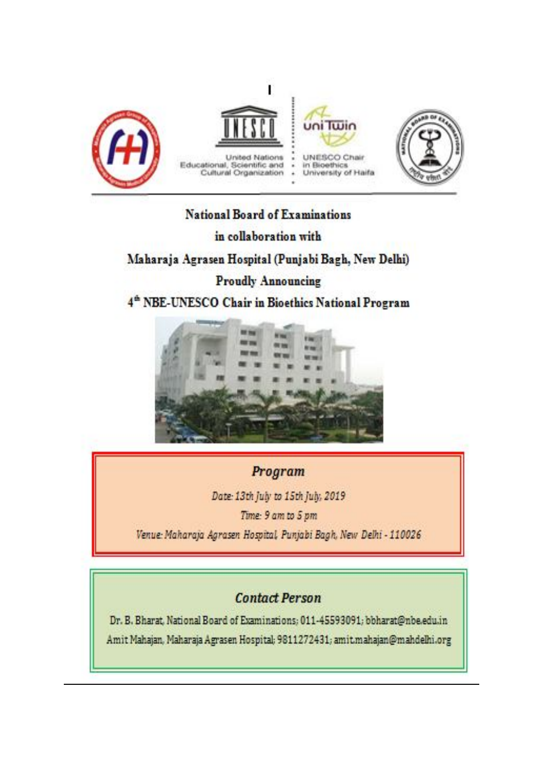

## National Board of Examinations in collaboration with

## Maharaja Agrasen Hospital (Punjabi Bagh, New Delhi)

## **Proudly Announcing**

4<sup>th</sup> NBE-UNESCO Chair in Bioethics National Program



# Program

Date: 13th July to 15th July, 2019

Time: 9 am to 5 pm

Venue: Maharaja Agrasen Hospital, Punjabi Bagh, New Delhi - 110026

# **Contact Person**

Dr. B. Bharat, National Board of Examinations; 011-45593091; bbharat@nbe.edu.in Amit Mahajan, Maharaja Agrasen Hospital; 9811272431; amit.mahajan@mahdelhi.org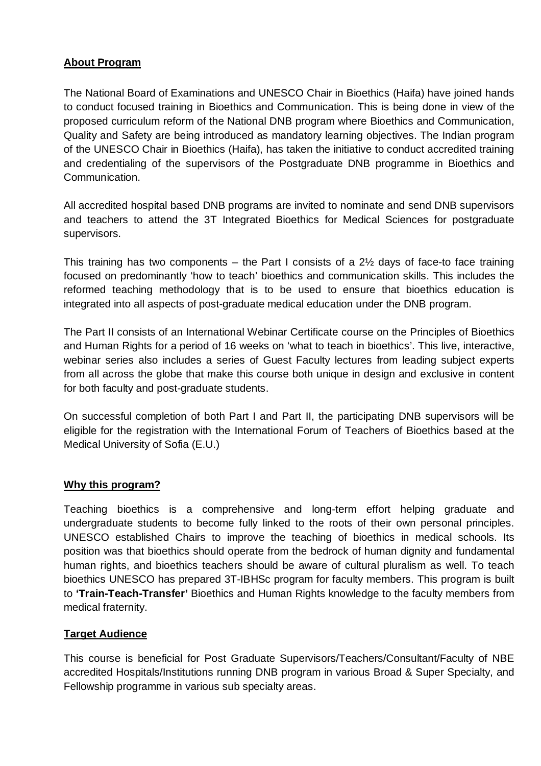## **About Program**

The National Board of Examinations and UNESCO Chair in Bioethics (Haifa) have joined hands to conduct focused training in Bioethics and Communication. This is being done in view of the proposed curriculum reform of the National DNB program where Bioethics and Communication, Quality and Safety are being introduced as mandatory learning objectives. The Indian program of the UNESCO Chair in Bioethics (Haifa), has taken the initiative to conduct accredited training and credentialing of the supervisors of the Postgraduate DNB programme in Bioethics and Communication.

All accredited hospital based DNB programs are invited to nominate and send DNB supervisors and teachers to attend the 3T Integrated Bioethics for Medical Sciences for postgraduate supervisors.

This training has two components – the Part I consists of a  $2\frac{1}{2}$  days of face-to face training focused on predominantly 'how to teach' bioethics and communication skills. This includes the reformed teaching methodology that is to be used to ensure that bioethics education is integrated into all aspects of post-graduate medical education under the DNB program.

The Part II consists of an International Webinar Certificate course on the Principles of Bioethics and Human Rights for a period of 16 weeks on 'what to teach in bioethics'. This live, interactive, webinar series also includes a series of Guest Faculty lectures from leading subject experts from all across the globe that make this course both unique in design and exclusive in content for both faculty and post-graduate students.

On successful completion of both Part I and Part II, the participating DNB supervisors will be eligible for the registration with the International Forum of Teachers of Bioethics based at the Medical University of Sofia (E.U.)

## **Why this program?**

Teaching bioethics is a comprehensive and long-term effort helping graduate and undergraduate students to become fully linked to the roots of their own personal principles. UNESCO established Chairs to improve the teaching of bioethics in medical schools. Its position was that bioethics should operate from the bedrock of human dignity and fundamental human rights, and bioethics teachers should be aware of cultural pluralism as well. To teach bioethics UNESCO has prepared 3T-IBHSc program for faculty members. This program is built to **'Train-Teach-Transfer'** Bioethics and Human Rights knowledge to the faculty members from medical fraternity.

## **Target Audience**

This course is beneficial for Post Graduate Supervisors/Teachers/Consultant/Faculty of NBE accredited Hospitals/Institutions running DNB program in various Broad & Super Specialty, and Fellowship programme in various sub specialty areas.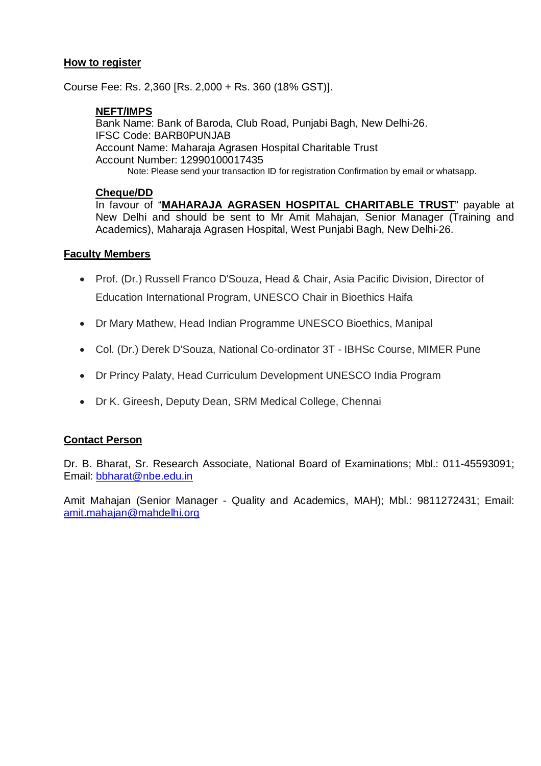### **How to register**

Course Fee: Rs. 2,360 [Rs. 2,000 + Rs. 360 (18% GST)].

### **NEFT/IMPS**

Bank Name: Bank of Baroda, Club Road, Punjabi Bagh, New Delhi-26. IFSC Code: BARB0PUNJAB Account Name: Maharaja Agrasen Hospital Charitable Trust Account Number: 12990100017435 Note: Please send your transaction ID for registration Confirmation by email or whatsapp.

#### **Cheque/DD**

In favour of "**MAHARAJA AGRASEN HOSPITAL CHARITABLE TRUST**" payable at New Delhi and should be sent to Mr Amit Mahajan, Senior Manager (Training and Academics), Maharaja Agrasen Hospital, West Punjabi Bagh, New Delhi-26.

### **Faculty Members**

- Prof. (Dr.) Russell Franco D'Souza, Head & Chair, Asia Pacific Division, Director of Education International Program, UNESCO Chair in Bioethics Haifa
- Dr Mary Mathew, Head Indian Programme UNESCO Bioethics, Manipal
- Col. (Dr.) Derek D'Souza, National Co-ordinator 3T IBHSc Course, MIMER Pune
- Dr Princy Palaty, Head Curriculum Development UNESCO India Program
- Dr K. Gireesh, Deputy Dean, SRM Medical College, Chennai

#### **Contact Person**

Dr. B. Bharat, Sr. Research Associate, National Board of Examinations; Mbl.: 011-45593091; Email: bbharat@nbe.edu.in

Amit Mahajan (Senior Manager - Quality and Academics, MAH); Mbl.: 9811272431; Email: amit.mahajan@mahdelhi.org